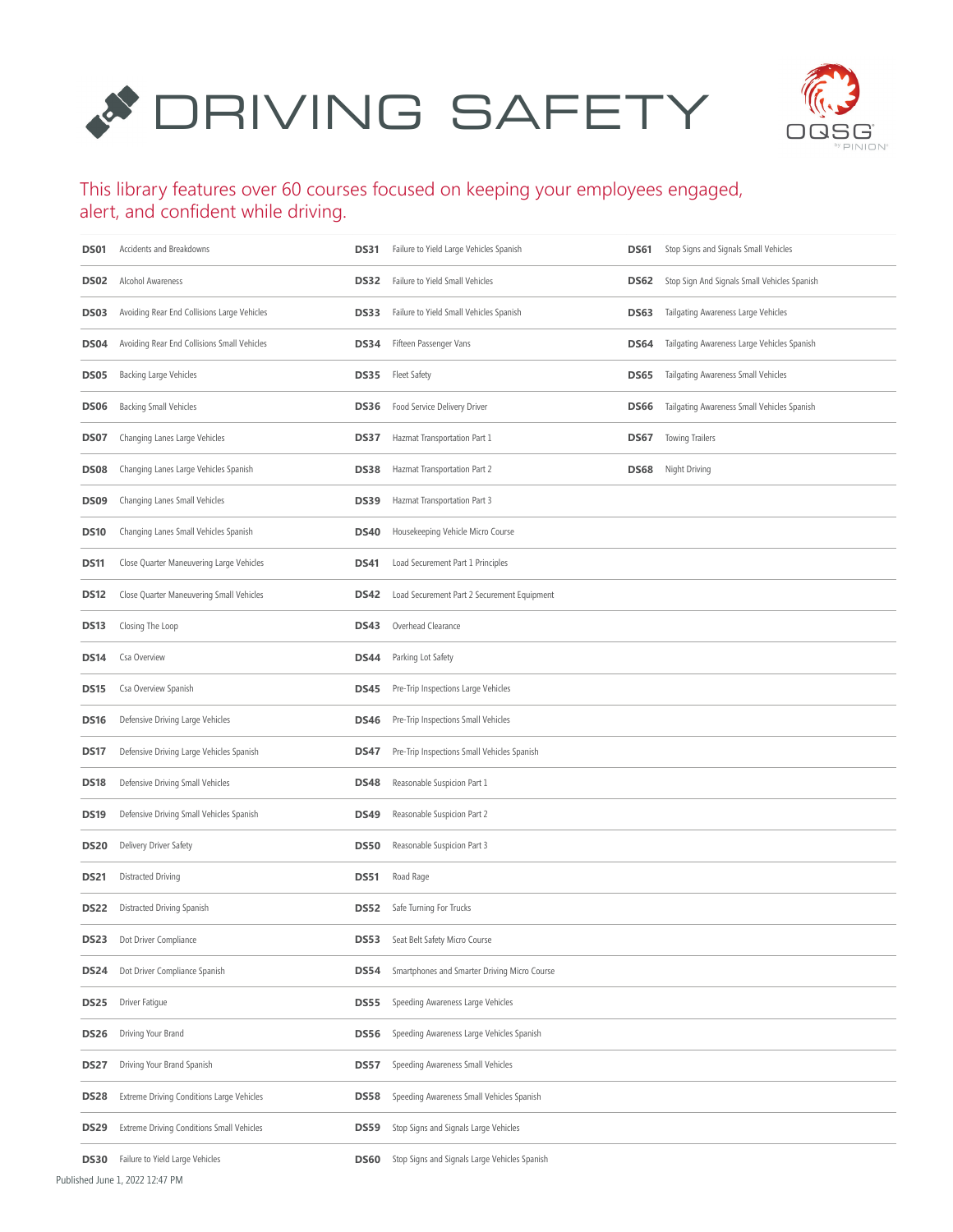# **SAFETY**



#### This library features over 60 courses focused on keeping your employees engaged, alert, and confident while driving.

| DS01             | Accidents and Breakdowns                         | <b>DS31</b> | Failure to Yield Large Vehicles Spanish                   | DS61 | Stop Signs and Signals Small Vehicles        |
|------------------|--------------------------------------------------|-------------|-----------------------------------------------------------|------|----------------------------------------------|
| DS02             | Alcohol Awareness                                | DS32        | Failure to Yield Small Vehicles                           | DS62 | Stop Sign And Signals Small Vehicles Spanish |
| DS03             | Avoiding Rear End Collisions Large Vehicles      | DS33        | Failure to Yield Small Vehicles Spanish                   | DS63 | Tailgating Awareness Large Vehicles          |
| DS04             | Avoiding Rear End Collisions Small Vehicles      | DS34        | Fifteen Passenger Vans                                    | DS64 | Tailgating Awareness Large Vehicles Spanish  |
| <b>DS05</b>      | <b>Backing Large Vehicles</b>                    | DS35        | <b>Fleet Safety</b>                                       | DS65 | Tailgating Awareness Small Vehicles          |
| DS06             | <b>Backing Small Vehicles</b>                    | DS36        | Food Service Delivery Driver                              | DS66 | Tailgating Awareness Small Vehicles Spanish  |
| DS07             | Changing Lanes Large Vehicles                    | DS37        | Hazmat Transportation Part 1                              | DS67 | <b>Towing Trailers</b>                       |
| DS08             | Changing Lanes Large Vehicles Spanish            | DS38        | Hazmat Transportation Part 2                              | DS68 | Night Driving                                |
| DS09             | Changing Lanes Small Vehicles                    | <b>DS39</b> | Hazmat Transportation Part 3                              |      |                                              |
| DS <sub>10</sub> | Changing Lanes Small Vehicles Spanish            | <b>DS40</b> | Housekeeping Vehicle Micro Course                         |      |                                              |
| DS11             | Close Quarter Maneuvering Large Vehicles         | <b>DS41</b> | Load Securement Part 1 Principles                         |      |                                              |
| DS12             | Close Quarter Maneuvering Small Vehicles         | DS42        | Load Securement Part 2 Securement Equipment               |      |                                              |
| DS13             | Closing The Loop                                 | DS43        | Overhead Clearance                                        |      |                                              |
| DS14             | Csa Overview                                     | DS44        | Parking Lot Safety                                        |      |                                              |
| DS15             | Csa Overview Spanish                             | <b>DS45</b> | Pre-Trip Inspections Large Vehicles                       |      |                                              |
| DS16             | Defensive Driving Large Vehicles                 | <b>DS46</b> | Pre-Trip Inspections Small Vehicles                       |      |                                              |
| DS17             | Defensive Driving Large Vehicles Spanish         | DS47        | Pre-Trip Inspections Small Vehicles Spanish               |      |                                              |
| DS18             | Defensive Driving Small Vehicles                 | DS48        | Reasonable Suspicion Part 1                               |      |                                              |
| DS19             | Defensive Driving Small Vehicles Spanish         | <b>DS49</b> | Reasonable Suspicion Part 2                               |      |                                              |
| DS20             | Delivery Driver Safety                           | <b>DS50</b> | Reasonable Suspicion Part 3                               |      |                                              |
| DS21             | Distracted Driving                               | <b>DS51</b> | Road Rage                                                 |      |                                              |
| DS22             | Distracted Driving Spanish                       | DS52        | Safe Turning For Trucks                                   |      |                                              |
| DS23             | Dot Driver Compliance                            | DS53        | Seat Belt Safety Micro Course                             |      |                                              |
| DS24             | Dot Driver Compliance Spanish                    | DS54        | Smartphones and Smarter Driving Micro Course              |      |                                              |
| DS25             | Driver Fatigue                                   | DS55        | Speeding Awareness Large Vehicles                         |      |                                              |
| DS26             | Driving Your Brand                               | DS56        | Speeding Awareness Large Vehicles Spanish                 |      |                                              |
| DS27             | Driving Your Brand Spanish                       | DS57        | Speeding Awareness Small Vehicles                         |      |                                              |
| DS <sub>28</sub> | Extreme Driving Conditions Large Vehicles        | DS58        | Speeding Awareness Small Vehicles Spanish                 |      |                                              |
| <b>DS29</b>      | <b>Extreme Driving Conditions Small Vehicles</b> | DS59        | Stop Signs and Signals Large Vehicles                     |      |                                              |
|                  | DS30 Failure to Yield Lame Vehicles              |             | <b>DS60</b> Stop Signs and Signals Large Vehicles Spanish |      |                                              |

**S60** Stop Signs and Signals Large Vehicles Spanish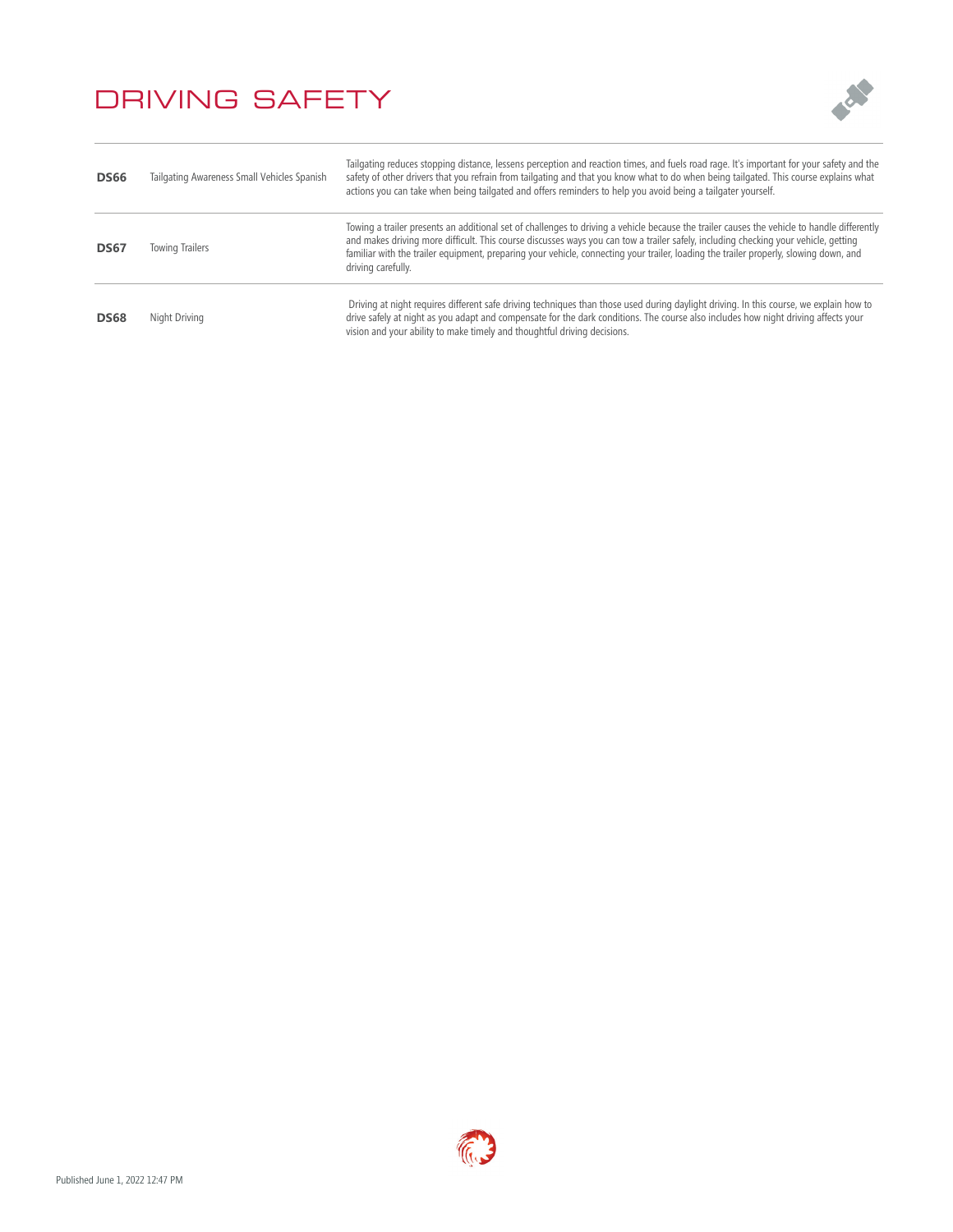

| <b>DS66</b> | Tailgating Awareness Small Vehicles Spanish | Tailgating reduces stopping distance, lessens perception and reaction times, and fuels road rage. It's important for your safety and the<br>safety of other drivers that you refrain from tailgating and that you know what to do when being tailgated. This course explains what<br>actions you can take when being tailgated and offers reminders to help you avoid being a tailgater yourself.                                                 |
|-------------|---------------------------------------------|---------------------------------------------------------------------------------------------------------------------------------------------------------------------------------------------------------------------------------------------------------------------------------------------------------------------------------------------------------------------------------------------------------------------------------------------------|
| <b>DS67</b> | <b>Towing Trailers</b>                      | Towing a trailer presents an additional set of challenges to driving a vehicle because the trailer causes the vehicle to handle differently<br>and makes driving more difficult. This course discusses ways you can tow a trailer safely, including checking your vehicle, getting<br>familiar with the trailer equipment, preparing your vehicle, connecting your trailer, loading the trailer properly, slowing down, and<br>driving carefully. |
| <b>DS68</b> | Night Driving                               | Driving at night requires different safe driving techniques than those used during daylight driving. In this course, we explain how to<br>drive safely at night as you adapt and compensate for the dark conditions. The course also includes how night driving affects your<br>vision and your ability to make timely and thoughtful driving decisions.                                                                                          |

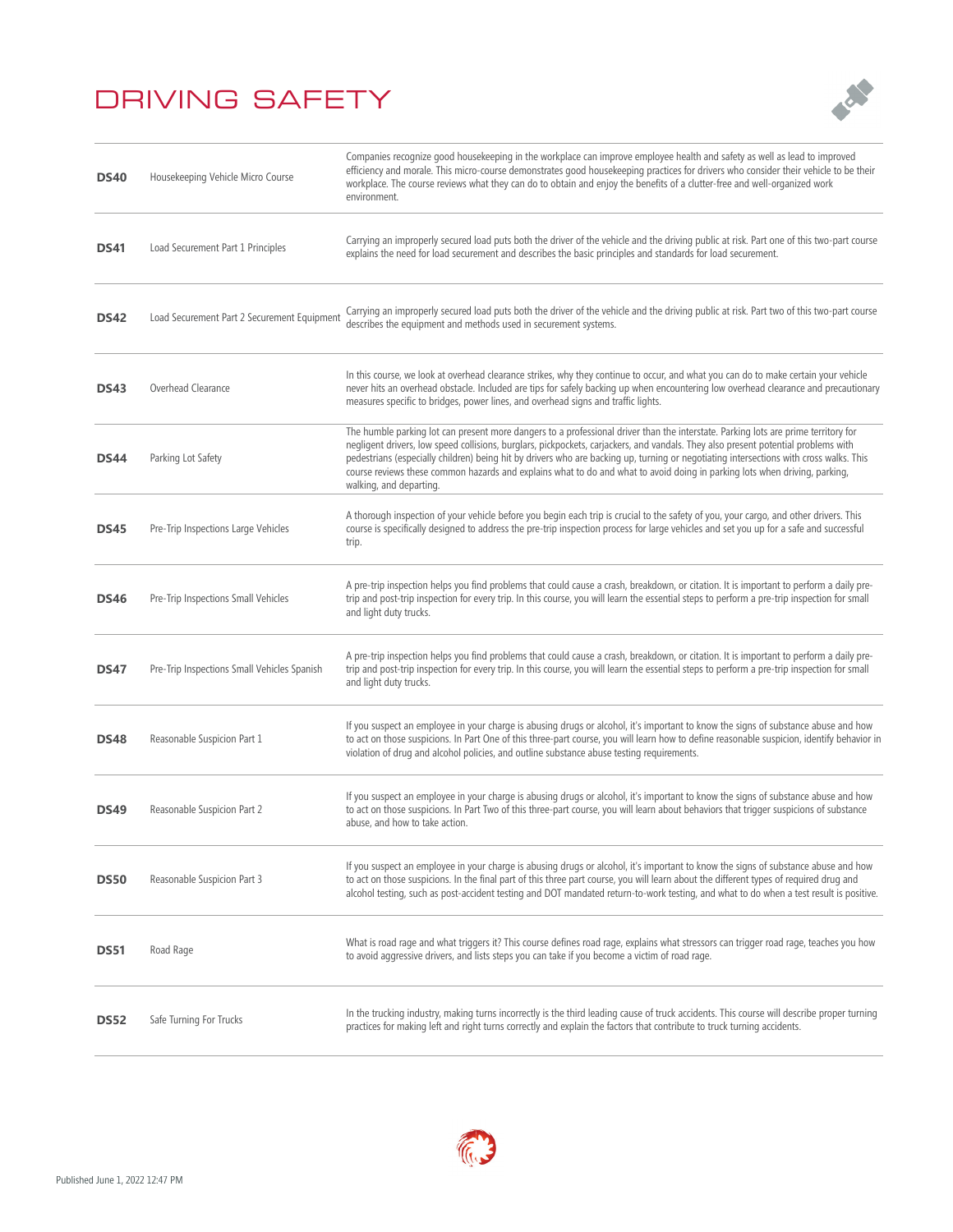

| <b>DS40</b> | Housekeeping Vehicle Micro Course           | Companies recognize good housekeeping in the workplace can improve employee health and safety as well as lead to improved<br>efficiency and morale. This micro-course demonstrates good housekeeping practices for drivers who consider their vehicle to be their<br>workplace. The course reviews what they can do to obtain and enjoy the benefits of a clutter-free and well-organized work<br>environment.                                                                                                                                                              |
|-------------|---------------------------------------------|-----------------------------------------------------------------------------------------------------------------------------------------------------------------------------------------------------------------------------------------------------------------------------------------------------------------------------------------------------------------------------------------------------------------------------------------------------------------------------------------------------------------------------------------------------------------------------|
| <b>DS41</b> | Load Securement Part 1 Principles           | Carrying an improperly secured load puts both the driver of the vehicle and the driving public at risk. Part one of this two-part course<br>explains the need for load securement and describes the basic principles and standards for load securement.                                                                                                                                                                                                                                                                                                                     |
| <b>DS42</b> | Load Securement Part 2 Securement Equipment | Carrying an improperly secured load puts both the driver of the vehicle and the driving public at risk. Part two of this two-part course<br>describes the equipment and methods used in securement systems.                                                                                                                                                                                                                                                                                                                                                                 |
| <b>DS43</b> | Overhead Clearance                          | In this course, we look at overhead clearance strikes, why they continue to occur, and what you can do to make certain your vehicle<br>never hits an overhead obstacle. Included are tips for safely backing up when encountering low overhead clearance and precautionary<br>measures specific to bridges, power lines, and overhead signs and traffic lights.                                                                                                                                                                                                             |
| <b>DS44</b> | Parking Lot Safety                          | The humble parking lot can present more dangers to a professional driver than the interstate. Parking lots are prime territory for<br>negligent drivers, low speed collisions, burglars, pickpockets, carjackers, and vandals. They also present potential problems with<br>pedestrians (especially children) being hit by drivers who are backing up, turning or negotiating intersections with cross walks. This<br>course reviews these common hazards and explains what to do and what to avoid doing in parking lots when driving, parking,<br>walking, and departing. |
| <b>DS45</b> | Pre-Trip Inspections Large Vehicles         | A thorough inspection of your vehicle before you begin each trip is crucial to the safety of you, your cargo, and other drivers. This<br>course is specifically designed to address the pre-trip inspection process for large vehicles and set you up for a safe and successful<br>trip.                                                                                                                                                                                                                                                                                    |
| <b>DS46</b> | Pre-Trip Inspections Small Vehicles         | A pre-trip inspection helps you find problems that could cause a crash, breakdown, or citation. It is important to perform a daily pre-<br>trip and post-trip inspection for every trip. In this course, you will learn the essential steps to perform a pre-trip inspection for small<br>and light duty trucks.                                                                                                                                                                                                                                                            |
| <b>DS47</b> | Pre-Trip Inspections Small Vehicles Spanish | A pre-trip inspection helps you find problems that could cause a crash, breakdown, or citation. It is important to perform a daily pre-<br>trip and post-trip inspection for every trip. In this course, you will learn the essential steps to perform a pre-trip inspection for small<br>and light duty trucks.                                                                                                                                                                                                                                                            |
| <b>DS48</b> | Reasonable Suspicion Part 1                 | If you suspect an employee in your charge is abusing drugs or alcohol, it's important to know the signs of substance abuse and how<br>to act on those suspicions. In Part One of this three-part course, you will learn how to define reasonable suspicion, identify behavior in<br>violation of drug and alcohol policies, and outline substance abuse testing requirements.                                                                                                                                                                                               |
| <b>DS49</b> | Reasonable Suspicion Part 2                 | If you suspect an employee in your charge is abusing drugs or alcohol, it's important to know the signs of substance abuse and how<br>to act on those suspicions. In Part Two of this three-part course, you will learn about behaviors that trigger suspicions of substance<br>abuse, and how to take action.                                                                                                                                                                                                                                                              |
| <b>DS50</b> | Reasonable Suspicion Part 3                 | If you suspect an employee in your charge is abusing drugs or alcohol, it's important to know the signs of substance abuse and how<br>to act on those suspicions. In the final part of this three part course, you will learn about the different types of required drug and<br>alcohol testing, such as post-accident testing and DOT mandated return-to-work testing, and what to do when a test result is positive.                                                                                                                                                      |
| <b>DS51</b> | Road Rage                                   | What is road rage and what triggers it? This course defines road rage, explains what stressors can trigger road rage, teaches you how<br>to avoid aggressive drivers, and lists steps you can take if you become a victim of road rage.                                                                                                                                                                                                                                                                                                                                     |
| <b>DS52</b> | Safe Turning For Trucks                     | In the trucking industry, making turns incorrectly is the third leading cause of truck accidents. This course will describe proper turning<br>practices for making left and right turns correctly and explain the factors that contribute to truck turning accidents.                                                                                                                                                                                                                                                                                                       |

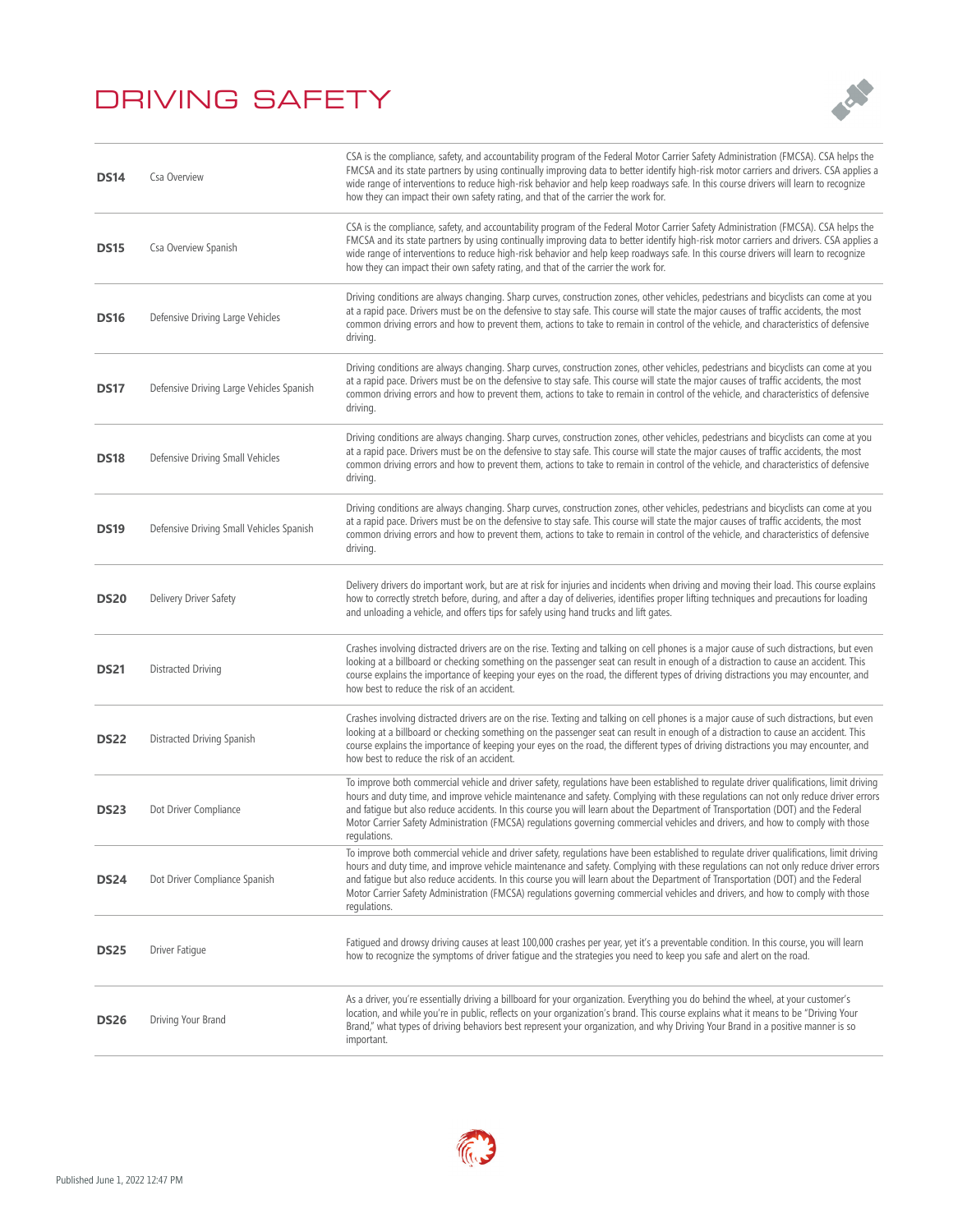

| <b>DS14</b> | Csa Overview                             | CSA is the compliance, safety, and accountability program of the Federal Motor Carrier Safety Administration (FMCSA). CSA helps the<br>FMCSA and its state partners by using continually improving data to better identify high-risk motor carriers and drivers. CSA applies a<br>wide range of interventions to reduce high-risk behavior and help keep roadways safe. In this course drivers will learn to recognize<br>how they can impact their own safety rating, and that of the carrier the work for.                                                            |
|-------------|------------------------------------------|-------------------------------------------------------------------------------------------------------------------------------------------------------------------------------------------------------------------------------------------------------------------------------------------------------------------------------------------------------------------------------------------------------------------------------------------------------------------------------------------------------------------------------------------------------------------------|
| <b>DS15</b> | Csa Overview Spanish                     | CSA is the compliance, safety, and accountability program of the Federal Motor Carrier Safety Administration (FMCSA). CSA helps the<br>FMCSA and its state partners by using continually improving data to better identify high-risk motor carriers and drivers. CSA applies a<br>wide range of interventions to reduce high-risk behavior and help keep roadways safe. In this course drivers will learn to recognize<br>how they can impact their own safety rating, and that of the carrier the work for.                                                            |
| <b>DS16</b> | Defensive Driving Large Vehicles         | Driving conditions are always changing. Sharp curves, construction zones, other vehicles, pedestrians and bicyclists can come at you<br>at a rapid pace. Drivers must be on the defensive to stay safe. This course will state the major causes of traffic accidents, the most<br>common driving errors and how to prevent them, actions to take to remain in control of the vehicle, and characteristics of defensive<br>driving.                                                                                                                                      |
| <b>DS17</b> | Defensive Driving Large Vehicles Spanish | Driving conditions are always changing. Sharp curves, construction zones, other vehicles, pedestrians and bicyclists can come at you<br>at a rapid pace. Drivers must be on the defensive to stay safe. This course will state the major causes of traffic accidents, the most<br>common driving errors and how to prevent them, actions to take to remain in control of the vehicle, and characteristics of defensive<br>driving.                                                                                                                                      |
| <b>DS18</b> | Defensive Driving Small Vehicles         | Driving conditions are always changing. Sharp curves, construction zones, other vehicles, pedestrians and bicyclists can come at you<br>at a rapid pace. Drivers must be on the defensive to stay safe. This course will state the major causes of traffic accidents, the most<br>common driving errors and how to prevent them, actions to take to remain in control of the vehicle, and characteristics of defensive<br>driving.                                                                                                                                      |
| <b>DS19</b> | Defensive Driving Small Vehicles Spanish | Driving conditions are always changing. Sharp curves, construction zones, other vehicles, pedestrians and bicyclists can come at you<br>at a rapid pace. Drivers must be on the defensive to stay safe. This course will state the major causes of traffic accidents, the most<br>common driving errors and how to prevent them, actions to take to remain in control of the vehicle, and characteristics of defensive<br>driving.                                                                                                                                      |
| <b>DS20</b> | Delivery Driver Safety                   | Delivery drivers do important work, but are at risk for injuries and incidents when driving and moving their load. This course explains<br>how to correctly stretch before, during, and after a day of deliveries, identifies proper lifting techniques and precautions for loading<br>and unloading a vehicle, and offers tips for safely using hand trucks and lift gates.                                                                                                                                                                                            |
| <b>DS21</b> | Distracted Driving                       | Crashes involving distracted drivers are on the rise. Texting and talking on cell phones is a major cause of such distractions, but even<br>looking at a billboard or checking something on the passenger seat can result in enough of a distraction to cause an accident. This<br>course explains the importance of keeping your eyes on the road, the different types of driving distractions you may encounter, and<br>how best to reduce the risk of an accident.                                                                                                   |
| <b>DS22</b> | Distracted Driving Spanish               | Crashes involving distracted drivers are on the rise. Texting and talking on cell phones is a major cause of such distractions, but even<br>looking at a billboard or checking something on the passenger seat can result in enough of a distraction to cause an accident. This<br>course explains the importance of keeping your eyes on the road, the different types of driving distractions you may encounter, and<br>how best to reduce the risk of an accident.                                                                                                   |
| <b>DS23</b> | Dot Driver Compliance                    | To improve both commercial vehicle and driver safety, regulations have been established to regulate driver qualifications, limit driving<br>hours and duty time, and improve vehicle maintenance and safety. Complying with these regulations can not only reduce driver errors<br>and fatigue but also reduce accidents. In this course you will learn about the Department of Transportation (DOT) and the Federal<br>Motor Carrier Safety Administration (FMCSA) regulations governing commercial vehicles and drivers, and how to comply with those<br>regulations. |
| <b>DS24</b> | Dot Driver Compliance Spanish            | To improve both commercial vehicle and driver safety, regulations have been established to regulate driver qualifications, limit driving<br>hours and duty time, and improve vehicle maintenance and safety. Complying with these regulations can not only reduce driver errors<br>and fatigue but also reduce accidents. In this course you will learn about the Department of Transportation (DOT) and the Federal<br>Motor Carrier Safety Administration (FMCSA) regulations governing commercial vehicles and drivers, and how to comply with those<br>regulations. |
| <b>DS25</b> | Driver Fatigue                           | Fatigued and drowsy driving causes at least 100,000 crashes per year, yet it's a preventable condition. In this course, you will learn<br>how to recognize the symptoms of driver fatigue and the strategies you need to keep you safe and alert on the road.                                                                                                                                                                                                                                                                                                           |
| <b>DS26</b> | Driving Your Brand                       | As a driver, you're essentially driving a billboard for your organization. Everything you do behind the wheel, at your customer's<br>location, and while you're in public, reflects on your organization's brand. This course explains what it means to be "Driving Your<br>Brand," what types of driving behaviors best represent your organization, and why Driving Your Brand in a positive manner is so<br>important.                                                                                                                                               |

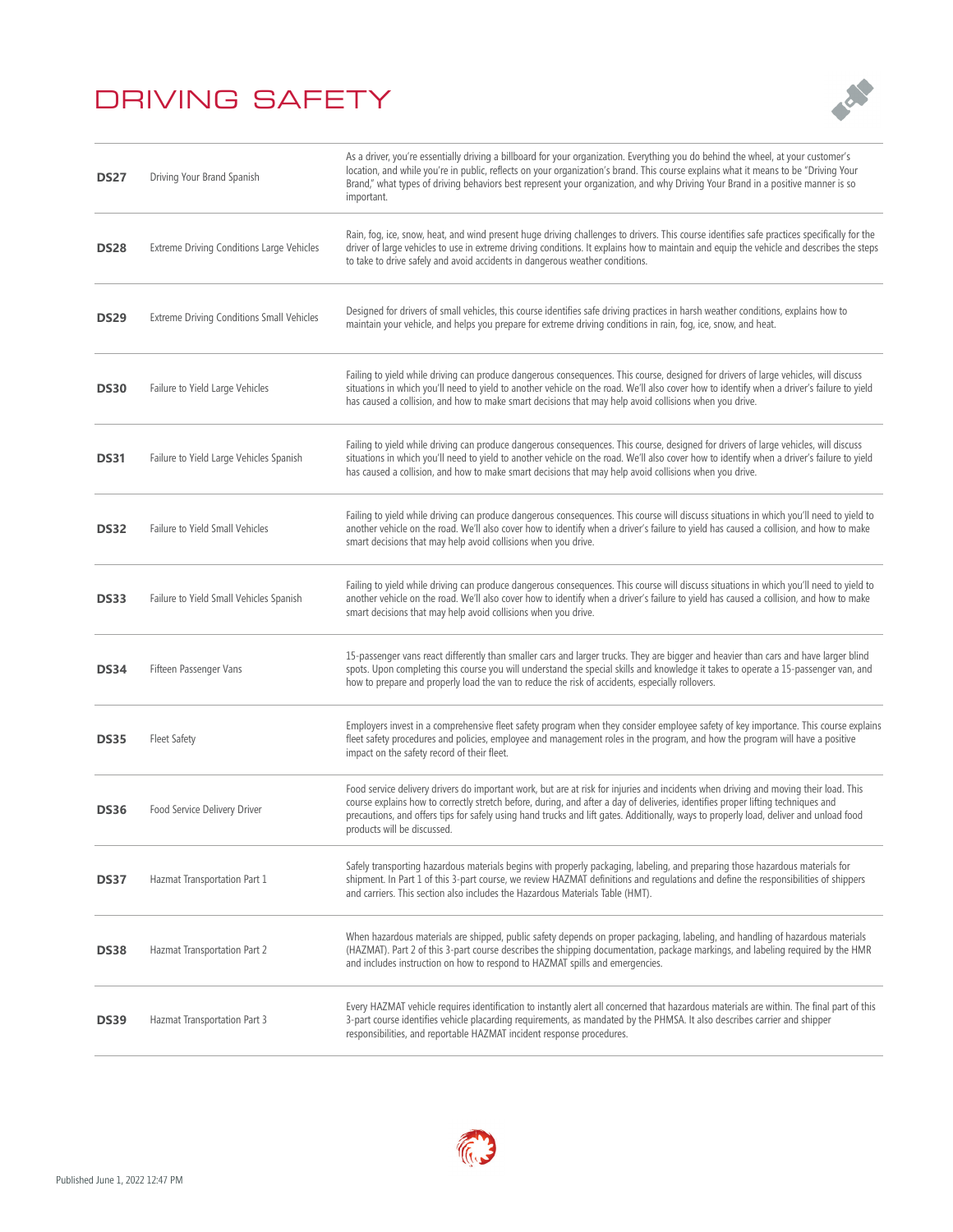

| <b>DS27</b> | Driving Your Brand Spanish                | As a driver, you're essentially driving a billboard for your organization. Everything you do behind the wheel, at your customer's<br>location, and while you're in public, reflects on your organization's brand. This course explains what it means to be "Driving Your<br>Brand," what types of driving behaviors best represent your organization, and why Driving Your Brand in a positive manner is so<br>important.                         |
|-------------|-------------------------------------------|---------------------------------------------------------------------------------------------------------------------------------------------------------------------------------------------------------------------------------------------------------------------------------------------------------------------------------------------------------------------------------------------------------------------------------------------------|
| <b>DS28</b> | Extreme Driving Conditions Large Vehicles | Rain, fog, ice, snow, heat, and wind present huge driving challenges to drivers. This course identifies safe practices specifically for the<br>driver of large vehicles to use in extreme driving conditions. It explains how to maintain and equip the vehicle and describes the steps<br>to take to drive safely and avoid accidents in dangerous weather conditions.                                                                           |
| <b>DS29</b> | Extreme Driving Conditions Small Vehicles | Designed for drivers of small vehicles, this course identifies safe driving practices in harsh weather conditions, explains how to<br>maintain your vehicle, and helps you prepare for extreme driving conditions in rain, fog, ice, snow, and heat.                                                                                                                                                                                              |
| <b>DS30</b> | Failure to Yield Large Vehicles           | Failing to yield while driving can produce dangerous consequences. This course, designed for drivers of large vehicles, will discuss<br>situations in which you'll need to yield to another vehicle on the road. We'll also cover how to identify when a driver's failure to yield<br>has caused a collision, and how to make smart decisions that may help avoid collisions when you drive.                                                      |
| <b>DS31</b> | Failure to Yield Large Vehicles Spanish   | Failing to yield while driving can produce dangerous consequences. This course, designed for drivers of large vehicles, will discuss<br>situations in which you'll need to yield to another vehicle on the road. We'll also cover how to identify when a driver's failure to yield<br>has caused a collision, and how to make smart decisions that may help avoid collisions when you drive.                                                      |
| <b>DS32</b> | Failure to Yield Small Vehicles           | Failing to yield while driving can produce dangerous consequences. This course will discuss situations in which you'll need to yield to<br>another vehicle on the road. We'll also cover how to identify when a driver's failure to yield has caused a collision, and how to make<br>smart decisions that may help avoid collisions when you drive.                                                                                               |
| <b>DS33</b> | Failure to Yield Small Vehicles Spanish   | Failing to yield while driving can produce dangerous consequences. This course will discuss situations in which you'll need to yield to<br>another vehicle on the road. We'll also cover how to identify when a driver's failure to yield has caused a collision, and how to make<br>smart decisions that may help avoid collisions when you drive.                                                                                               |
| <b>DS34</b> | Fifteen Passenger Vans                    | 15-passenger vans react differently than smaller cars and larger trucks. They are bigger and heavier than cars and have larger blind<br>spots. Upon completing this course you will understand the special skills and knowledge it takes to operate a 15-passenger van, and<br>how to prepare and properly load the van to reduce the risk of accidents, especially rollovers.                                                                    |
| <b>DS35</b> | <b>Fleet Safety</b>                       | Employers invest in a comprehensive fleet safety program when they consider employee safety of key importance. This course explains<br>fleet safety procedures and policies, employee and management roles in the program, and how the program will have a positive<br>impact on the safety record of their fleet.                                                                                                                                |
| <b>DS36</b> | Food Service Delivery Driver              | Food service delivery drivers do important work, but are at risk for injuries and incidents when driving and moving their load. This<br>course explains how to correctly stretch before, during, and after a day of deliveries, identifies proper lifting techniques and<br>precautions, and offers tips for safely using hand trucks and lift gates. Additionally, ways to properly load, deliver and unload food<br>products will be discussed. |
| <b>DS37</b> | Hazmat Transportation Part 1              | Safely transporting hazardous materials begins with properly packaging, labeling, and preparing those hazardous materials for<br>shipment. In Part 1 of this 3-part course, we review HAZMAT definitions and requlations and define the responsibilities of shippers<br>and carriers. This section also includes the Hazardous Materials Table (HMT).                                                                                             |
| <b>DS38</b> | Hazmat Transportation Part 2              | When hazardous materials are shipped, public safety depends on proper packaging, labeling, and handling of hazardous materials<br>(HAZMAT). Part 2 of this 3-part course describes the shipping documentation, package markings, and labeling required by the HMR<br>and includes instruction on how to respond to HAZMAT spills and emergencies.                                                                                                 |
| DS39        | Hazmat Transportation Part 3              | Every HAZMAT vehicle requires identification to instantly alert all concerned that hazardous materials are within. The final part of this<br>3-part course identifies vehicle placarding requirements, as mandated by the PHMSA. It also describes carrier and shipper<br>responsibilities, and reportable HAZMAT incident response procedures.                                                                                                   |